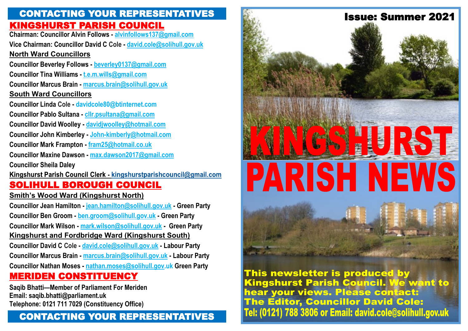### KINGSHURST PARISH COUNCIL CONTACTING YOUR REPRESENTATIVES

**Chairman: Councillor Alvin Follows - alvinfollows137@gmail.com Vice Chairman: Councillor David C Cole - david.cole@solihull.gov.uk North Ward Councillors Councillor Beverley Follows - beverley0137@gmail.com Councillor Tina Williams - t.e.m.wills@gmail.com Councillor Marcus Brain - marcus.brain@solihull.gov.uk South Ward Councillors Councillor Linda Cole - davidcole80@btinternet.com Councillor Pablo Sultana - cllr.psultana@gmail.com Councillor David Woolley - davidjwoolley@hotmail.com Councillor John Kimberley - John-kimberly@hotmail.com Councillor Mark Frampton - fram25@hotmail.co.uk Councillor Maxine Dawson - max.dawson2017@gmail.com Councillor Sheila Daley**  Kingshurst Parish Council Clerk - kingshurstparishcouncil@gmail.com SOLIHULL BOROUGH COUNCIL **Smith's Wood Ward (Kingshurst North) Councillor Jean Hamilton - jean.hamilton@solihull.gov.uk - Green Party**

**Councillor Ben Groom - ben.groom@solihull.gov.uk - Green Party Councillor Mark Wilson - mark.wilson@solihull.gov.uk - Green Party Kingshurst and Fordbridge Ward (Kingshurst South) Councillor David C Cole - david.cole@solihull.gov.uk - Labour Party Councillor Marcus Brain - marcus.brain@solihull.gov.uk - Labour Party Councillor Nathan Moses - nathan.moses@solihull.gov.uk Green Party**

### MERIDEN CONSTITUENCY

**Saqib Bhatti—Member of Parliament For Meriden Email: saqib.bhatti@parliament.uk Telephone: 0121 711 7029 (Constituency Office)**

### CONTACTING YOUR REPRESENTATIVES



This newsletter is produced by Kingshurst Parish Council. We want to hear your views. Please contact: **The Editor, Councillor David Cole:** Tel: (0121) 788 3806 or Email: david.cole@solihull.gov.uk